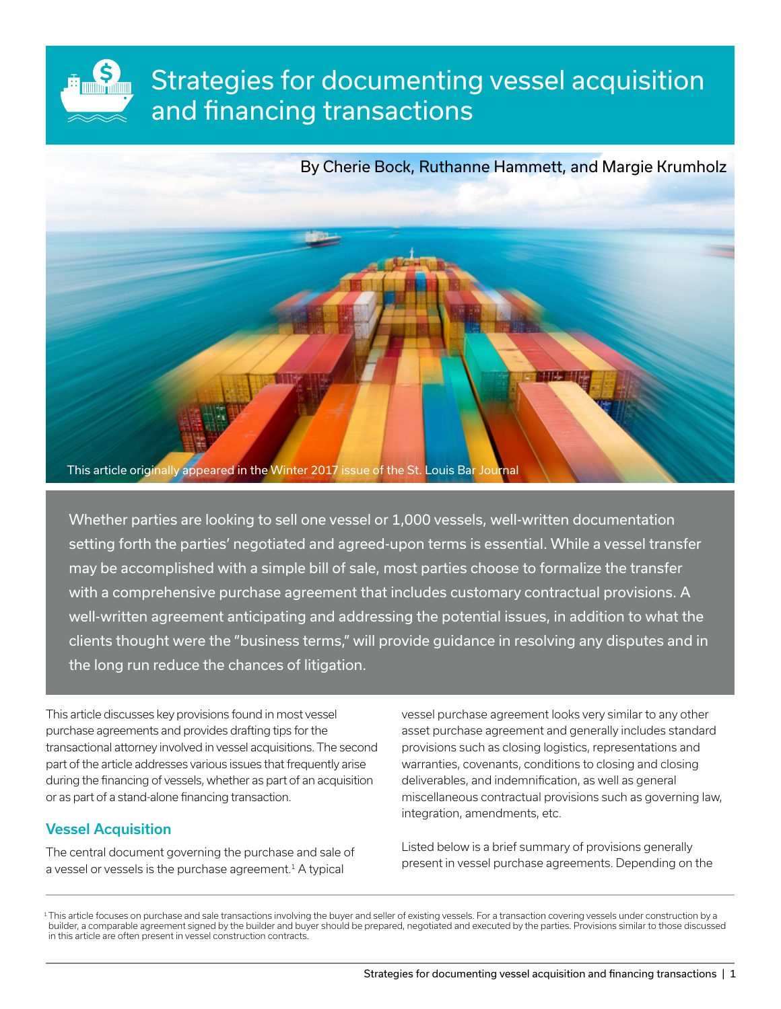# Strategies for documenting vessel acquisition and financing transactions

By Cherie Bock, Ruthanne Hammett, and Margie Krumholz



Whether parties are looking to sell one vessel or 1,000 vessels, well-written documentation setting forth the parties' negotiated and agreed-upon terms is essential. While a vessel transfer may be accomplished with a simple bill of sale, most parties choose to formalize the transfer with a comprehensive purchase agreement that includes customary contractual provisions. A well-written agreement anticipating and addressing the potential issues, in addition to what the clients thought were the "business terms," will provide guidance in resolving any disputes and in the long run reduce the chances of litigation.

This article discusses key provisions found in most vessel purchase agreements and provides drafting tips for the transactional attorney involved in vessel acquisitions. The second part of the article addresses various issues that frequently arise during the financing of vessels, whether as part of an acquisition or as part of a stand-alone financing transaction.

# Vessel Acquisition

\$

The central document governing the purchase and sale of a vessel or vessels is the purchase agreement.<sup>1</sup> A typical

vessel purchase agreement looks very similar to any other asset purchase agreement and generally includes standard provisions such as closing logistics, representations and warranties, covenants, conditions to closing and closing deliverables, and indemnification, as well as general miscellaneous contractual provisions such as governing law, integration, amendments, etc.

Listed below is a brief summary of provisions generally present in vessel purchase agreements. Depending on the

1This article focuses on purchase and sale transactions involving the buyer and seller of existing vessels. For a transaction covering vessels under construction by a builder, a comparable agreement signed by the builder and buyer should be prepared, negotiated and executed by the parties. Provisions similar to those discussed in this article are often present in vessel construction contracts.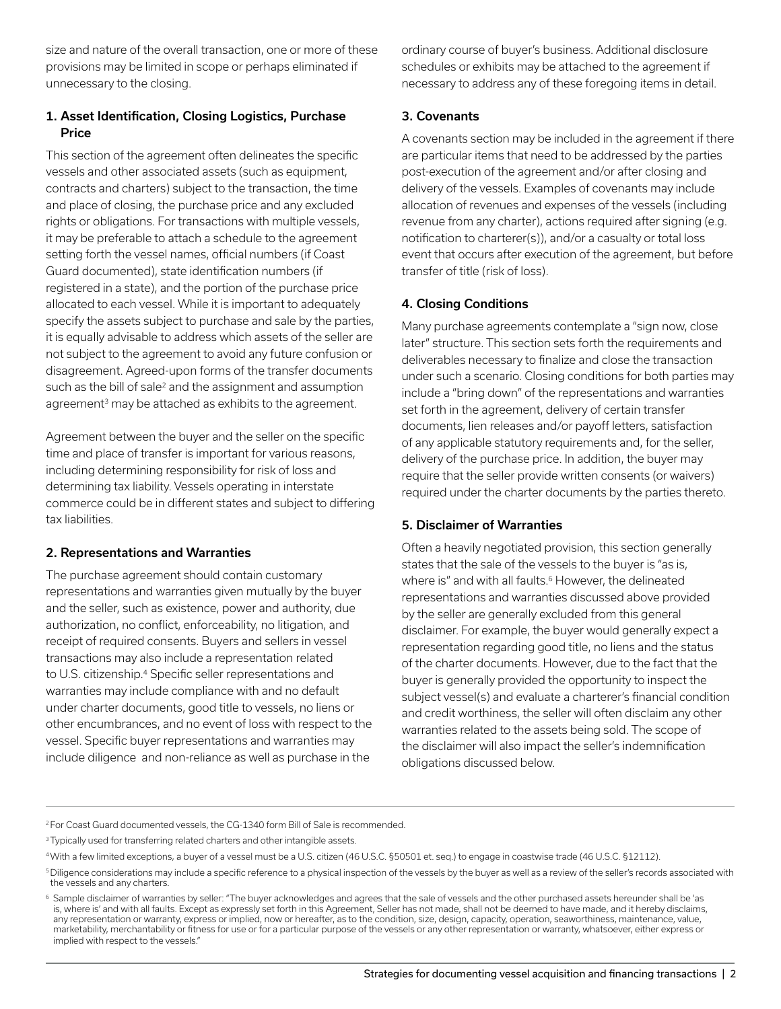size and nature of the overall transaction, one or more of these provisions may be limited in scope or perhaps eliminated if unnecessary to the closing.

# 1. Asset Identification, Closing Logistics, Purchase Price

This section of the agreement often delineates the specific vessels and other associated assets (such as equipment, contracts and charters) subject to the transaction, the time and place of closing, the purchase price and any excluded rights or obligations. For transactions with multiple vessels, it may be preferable to attach a schedule to the agreement setting forth the vessel names, official numbers (if Coast Guard documented), state identification numbers (if registered in a state), and the portion of the purchase price allocated to each vessel. While it is important to adequately specify the assets subject to purchase and sale by the parties, it is equally advisable to address which assets of the seller are not subject to the agreement to avoid any future confusion or disagreement. Agreed-upon forms of the transfer documents such as the bill of sale<sup>2</sup> and the assignment and assumption agreement<sup>3</sup> may be attached as exhibits to the agreement.

Agreement between the buyer and the seller on the specific time and place of transfer is important for various reasons, including determining responsibility for risk of loss and determining tax liability. Vessels operating in interstate commerce could be in different states and subject to differing tax liabilities.

## 2. Representations and Warranties

The purchase agreement should contain customary representations and warranties given mutually by the buyer and the seller, such as existence, power and authority, due authorization, no conflict, enforceability, no litigation, and receipt of required consents. Buyers and sellers in vessel transactions may also include a representation related to U.S. citizenship.<sup>4</sup> Specific seller representations and warranties may include compliance with and no default under charter documents, good title to vessels, no liens or other encumbrances, and no event of loss with respect to the vessel. Specific buyer representations and warranties may include diligence and non-reliance as well as purchase in the

ordinary course of buyer's business. Additional disclosure schedules or exhibits may be attached to the agreement if necessary to address any of these foregoing items in detail.

## 3. Covenants

A covenants section may be included in the agreement if there are particular items that need to be addressed by the parties post-execution of the agreement and/or after closing and delivery of the vessels. Examples of covenants may include allocation of revenues and expenses of the vessels (including revenue from any charter), actions required after signing (e.g. notification to charterer(s)), and/or a casualty or total loss event that occurs after execution of the agreement, but before transfer of title (risk of loss).

## 4. Closing Conditions

Many purchase agreements contemplate a "sign now, close later" structure. This section sets forth the requirements and deliverables necessary to finalize and close the transaction under such a scenario. Closing conditions for both parties may include a "bring down" of the representations and warranties set forth in the agreement, delivery of certain transfer documents, lien releases and/or payoff letters, satisfaction of any applicable statutory requirements and, for the seller, delivery of the purchase price. In addition, the buyer may require that the seller provide written consents (or waivers) required under the charter documents by the parties thereto.

## 5. Disclaimer of Warranties

Often a heavily negotiated provision, this section generally states that the sale of the vessels to the buyer is "as is, where is" and with all faults.<sup>6</sup> However, the delineated representations and warranties discussed above provided by the seller are generally excluded from this general disclaimer. For example, the buyer would generally expect a representation regarding good title, no liens and the status of the charter documents. However, due to the fact that the buyer is generally provided the opportunity to inspect the subject vessel(s) and evaluate a charterer's financial condition and credit worthiness, the seller will often disclaim any other warranties related to the assets being sold. The scope of the disclaimer will also impact the seller's indemnification obligations discussed below.

2 For Coast Guard documented vessels, the CG-1340 form Bill of Sale is recommended.

<sup>3</sup> Typically used for transferring related charters and other intangible assets.

<sup>4</sup> With a few limited exceptions, a buyer of a vessel must be a U.S. citizen (46 U.S.C. §50501 et. seq.) to engage in coastwise trade (46 U.S.C. §12112).

<sup>5</sup>Diligence considerations may include a specific reference to a physical inspection of the vessels by the buyer as well as a review of the seller's records associated with the vessels and any charters.

<sup>6</sup> Sample disclaimer of warranties by seller: "The buyer acknowledges and agrees that the sale of vessels and the other purchased assets hereunder shall be 'as is, where is' and with all faults. Except as expressly set forth in this Agreement, Seller has not made, shall not be deemed to have made, and it hereby disclaims, any representation or warranty, express or implied, now or hereafter, as to the condition, size, design, capacity, operation, seaworthiness, maintenance, value, marketability, merchantability or fitness for use or for a particular purpose of the vessels or any other representation or warranty, whatsoever, either express or implied with respect to the vessels."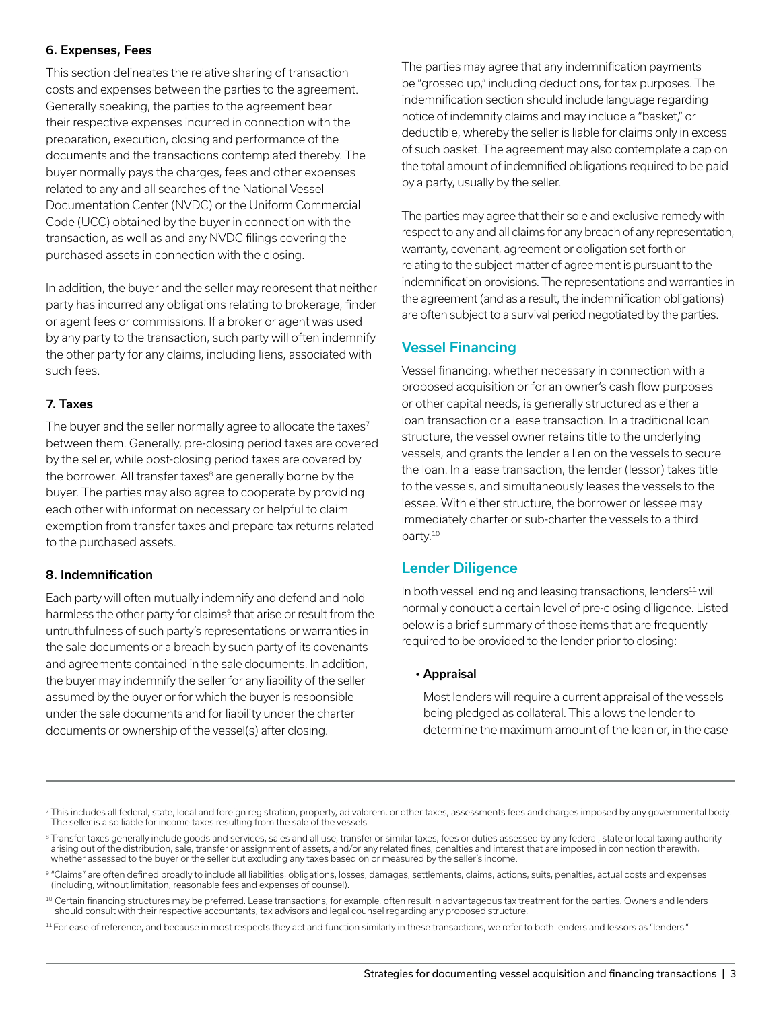### 6. Expenses, Fees

This section delineates the relative sharing of transaction costs and expenses between the parties to the agreement. Generally speaking, the parties to the agreement bear their respective expenses incurred in connection with the preparation, execution, closing and performance of the documents and the transactions contemplated thereby. The buyer normally pays the charges, fees and other expenses related to any and all searches of the National Vessel Documentation Center (NVDC) or the Uniform Commercial Code (UCC) obtained by the buyer in connection with the transaction, as well as and any NVDC filings covering the purchased assets in connection with the closing.

In addition, the buyer and the seller may represent that neither party has incurred any obligations relating to brokerage, finder or agent fees or commissions. If a broker or agent was used by any party to the transaction, such party will often indemnify the other party for any claims, including liens, associated with such fees.

#### 7. Taxes

The buyer and the seller normally agree to allocate the taxes<sup>7</sup> between them. Generally, pre-closing period taxes are covered by the seller, while post-closing period taxes are covered by the borrower. All transfer taxes<sup>8</sup> are generally borne by the buyer. The parties may also agree to cooperate by providing each other with information necessary or helpful to claim exemption from transfer taxes and prepare tax returns related to the purchased assets.

#### 8. Indemnification

Each party will often mutually indemnify and defend and hold harmless the other party for claims<sup>9</sup> that arise or result from the untruthfulness of such party's representations or warranties in the sale documents or a breach by such party of its covenants and agreements contained in the sale documents. In addition, the buyer may indemnify the seller for any liability of the seller assumed by the buyer or for which the buyer is responsible under the sale documents and for liability under the charter documents or ownership of the vessel(s) after closing.

The parties may agree that any indemnification payments be "grossed up," including deductions, for tax purposes. The indemnification section should include language regarding notice of indemnity claims and may include a "basket," or deductible, whereby the seller is liable for claims only in excess of such basket. The agreement may also contemplate a cap on the total amount of indemnified obligations required to be paid by a party, usually by the seller.

The parties may agree that their sole and exclusive remedy with respect to any and all claims for any breach of any representation, warranty, covenant, agreement or obligation set forth or relating to the subject matter of agreement is pursuant to the indemnification provisions. The representations and warranties in the agreement (and as a result, the indemnification obligations) are often subject to a survival period negotiated by the parties.

## Vessel Financing

Vessel financing, whether necessary in connection with a proposed acquisition or for an owner's cash flow purposes or other capital needs, is generally structured as either a loan transaction or a lease transaction. In a traditional loan structure, the vessel owner retains title to the underlying vessels, and grants the lender a lien on the vessels to secure the loan. In a lease transaction, the lender (lessor) takes title to the vessels, and simultaneously leases the vessels to the lessee. With either structure, the borrower or lessee may immediately charter or sub-charter the vessels to a third party.10

## Lender Diligence

In both vessel lending and leasing transactions, lenders<sup>11</sup> will normally conduct a certain level of pre-closing diligence. Listed below is a brief summary of those items that are frequently required to be provided to the lender prior to closing:

#### • Appraisal

 Most lenders will require a current appraisal of the vessels being pledged as collateral. This allows the lender to determine the maximum amount of the loan or, in the case

<sup>7</sup> This includes all federal, state, local and foreign registration, property, ad valorem, or other taxes, assessments fees and charges imposed by any governmental body. The seller is also liable for income taxes resulting from the sale of the vessels.

<sup>&</sup>lt;sup>8</sup> Transfer taxes generally include goods and services, sales and all use, transfer or similar taxes, fees or duties assessed by any federal, state or local taxing authority arising out of the distribution, sale, transfer or assignment of assets, and/or any related fines, penalties and interest that are imposed in connection therewith, whether assessed to the buyer or the seller but excluding any taxes based on or measured by the seller's income.

<sup>9 &</sup>quot;Claims" are often defined broadly to include all liabilities, obligations, losses, damages, settlements, claims, actions, suits, penalties, actual costs and expenses (including, without limitation, reasonable fees and expenses of counsel).

<sup>10</sup> Certain financing structures may be preferred. Lease transactions, for example, often result in advantageous tax treatment for the parties. Owners and lenders should consult with their respective accountants, tax advisors and legal counsel regarding any proposed structure.

 $11$  For ease of reference, and because in most respects they act and function similarly in these transactions, we refer to both lenders and lessors as "lenders."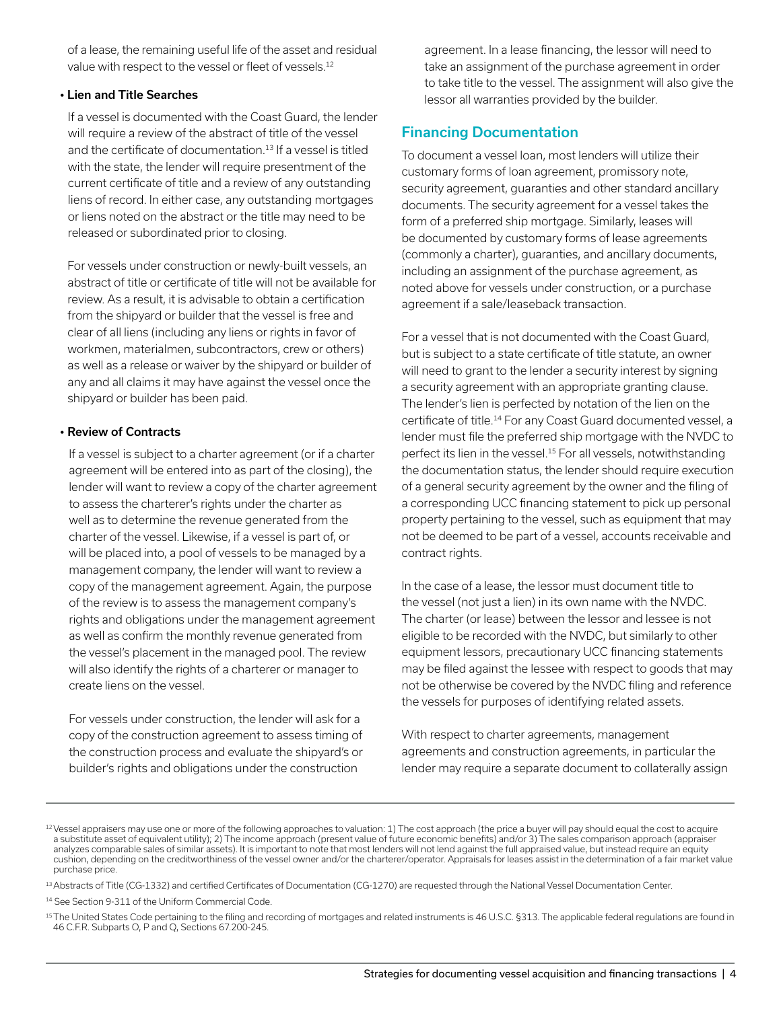of a lease, the remaining useful life of the asset and residual value with respect to the vessel or fleet of vessels.<sup>12</sup>

#### • Lien and Title Searches

 If a vessel is documented with the Coast Guard, the lender will require a review of the abstract of title of the vessel and the certificate of documentation.<sup>13</sup> If a vessel is titled with the state, the lender will require presentment of the current certificate of title and a review of any outstanding liens of record. In either case, any outstanding mortgages or liens noted on the abstract or the title may need to be released or subordinated prior to closing.

 For vessels under construction or newly-built vessels, an abstract of title or certificate of title will not be available for review. As a result, it is advisable to obtain a certification from the shipyard or builder that the vessel is free and clear of all liens (including any liens or rights in favor of workmen, materialmen, subcontractors, crew or others) as well as a release or waiver by the shipyard or builder of any and all claims it may have against the vessel once the shipyard or builder has been paid.

## • Review of Contracts

 If a vessel is subject to a charter agreement (or if a charter agreement will be entered into as part of the closing), the lender will want to review a copy of the charter agreement to assess the charterer's rights under the charter as well as to determine the revenue generated from the charter of the vessel. Likewise, if a vessel is part of, or will be placed into, a pool of vessels to be managed by a management company, the lender will want to review a copy of the management agreement. Again, the purpose of the review is to assess the management company's rights and obligations under the management agreement as well as confirm the monthly revenue generated from the vessel's placement in the managed pool. The review will also identify the rights of a charterer or manager to create liens on the vessel.

 For vessels under construction, the lender will ask for a copy of the construction agreement to assess timing of the construction process and evaluate the shipyard's or builder's rights and obligations under the construction

agreement. In a lease financing, the lessor will need to take an assignment of the purchase agreement in order to take title to the vessel. The assignment will also give the lessor all warranties provided by the builder.

# Financing Documentation

To document a vessel loan, most lenders will utilize their customary forms of loan agreement, promissory note, security agreement, guaranties and other standard ancillary documents. The security agreement for a vessel takes the form of a preferred ship mortgage. Similarly, leases will be documented by customary forms of lease agreements (commonly a charter), guaranties, and ancillary documents, including an assignment of the purchase agreement, as noted above for vessels under construction, or a purchase agreement if a sale/leaseback transaction.

For a vessel that is not documented with the Coast Guard, but is subject to a state certificate of title statute, an owner will need to grant to the lender a security interest by signing a security agreement with an appropriate granting clause. The lender's lien is perfected by notation of the lien on the certificate of title.14 For any Coast Guard documented vessel, a lender must file the preferred ship mortgage with the NVDC to perfect its lien in the vessel.15 For all vessels, notwithstanding the documentation status, the lender should require execution of a general security agreement by the owner and the filing of a corresponding UCC financing statement to pick up personal property pertaining to the vessel, such as equipment that may not be deemed to be part of a vessel, accounts receivable and contract rights.

In the case of a lease, the lessor must document title to the vessel (not just a lien) in its own name with the NVDC. The charter (or lease) between the lessor and lessee is not eligible to be recorded with the NVDC, but similarly to other equipment lessors, precautionary UCC financing statements may be filed against the lessee with respect to goods that may not be otherwise be covered by the NVDC filing and reference the vessels for purposes of identifying related assets.

With respect to charter agreements, management agreements and construction agreements, in particular the lender may require a separate document to collaterally assign

<sup>&</sup>lt;sup>12</sup> Vessel appraisers may use one or more of the following approaches to valuation: 1) The cost approach (the price a buyer will pay should equal the cost to acquire a substitute asset of equivalent utility); 2) The income approach (present value of future economic benefits) and/or 3) The sales comparison approach (appraiser analyzes comparable sales of similar assets). It is important to note that most lenders will not lend against the full appraised value, but instead require an equity cushion, depending on the creditworthiness of the vessel owner and/or the charterer/operator. Appraisals for leases assist in the determination of a fair market value purchase price.

<sup>&</sup>lt;sup>13</sup> Abstracts of Title (CG-1332) and certified Certificates of Documentation (CG-1270) are requested through the National Vessel Documentation Center.

<sup>&</sup>lt;sup>14</sup> See Section 9-311 of the Uniform Commercial Code.

<sup>15</sup> The United States Code pertaining to the filing and recording of mortgages and related instruments is 46 U.S.C. §313. The applicable federal regulations are found in 46 C.F.R. Subparts O, P and Q, Sections 67.200-245.